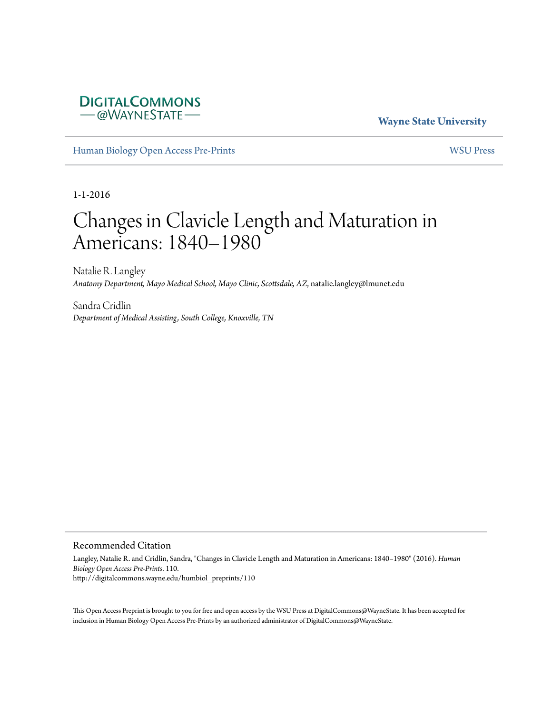## **DIGITALCOMMONS** -@WAYNESTATE-

**Wayne State University**

[Human Biology Open Access Pre-Prints](http://digitalcommons.wayne.edu/humbiol_preprints) [WSU Press](http://digitalcommons.wayne.edu/wsupress)

1-1-2016

# Changes in Clavicle Length and Maturation in Americans: 1840–1980

Natalie R. Langley *Anatomy Department, Mayo Medical School, Mayo Clinic, Scottsdale, AZ*, natalie.langley@lmunet.edu

Sandra Cridlin *Department of Medical Assisting, South College, Knoxville, TN*

#### Recommended Citation

Langley, Natalie R. and Cridlin, Sandra, "Changes in Clavicle Length and Maturation in Americans: 1840–1980" (2016). *Human Biology Open Access Pre-Prints*. 110. http://digitalcommons.wayne.edu/humbiol\_preprints/110

This Open Access Preprint is brought to you for free and open access by the WSU Press at DigitalCommons@WayneState. It has been accepted for inclusion in Human Biology Open Access Pre-Prints by an authorized administrator of DigitalCommons@WayneState.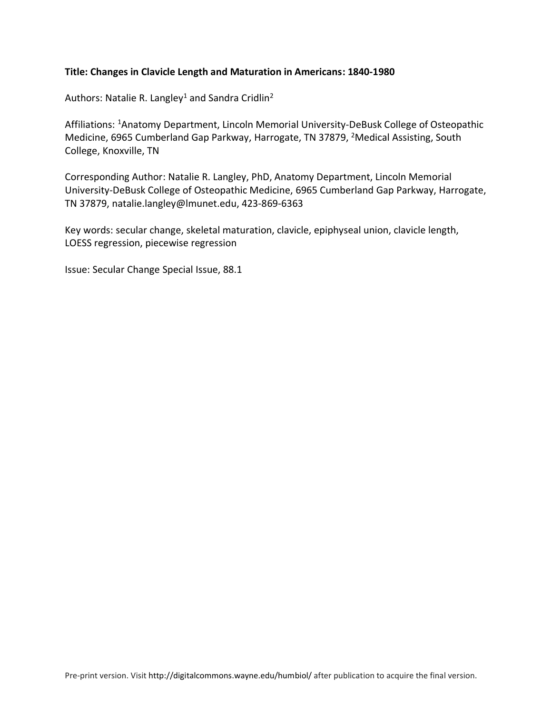## **Title: Changes in Clavicle Length and Maturation in Americans: 1840-1980**

Authors: Natalie R. Langley<sup>1</sup> and Sandra Cridlin<sup>2</sup>

Affiliations: <sup>1</sup>Anatomy Department, Lincoln Memorial University-DeBusk College of Osteopathic Medicine, 6965 Cumberland Gap Parkway, Harrogate, TN 37879, <sup>2</sup>Medical Assisting, South College, Knoxville, TN

Corresponding Author: Natalie R. Langley, PhD, Anatomy Department, Lincoln Memorial University-DeBusk College of Osteopathic Medicine, 6965 Cumberland Gap Parkway, Harrogate, TN 37879, natalie.langley@lmunet.edu, 423-869-6363

Key words: secular change, skeletal maturation, clavicle, epiphyseal union, clavicle length, LOESS regression, piecewise regression

Issue: Secular Change Special Issue, 88.1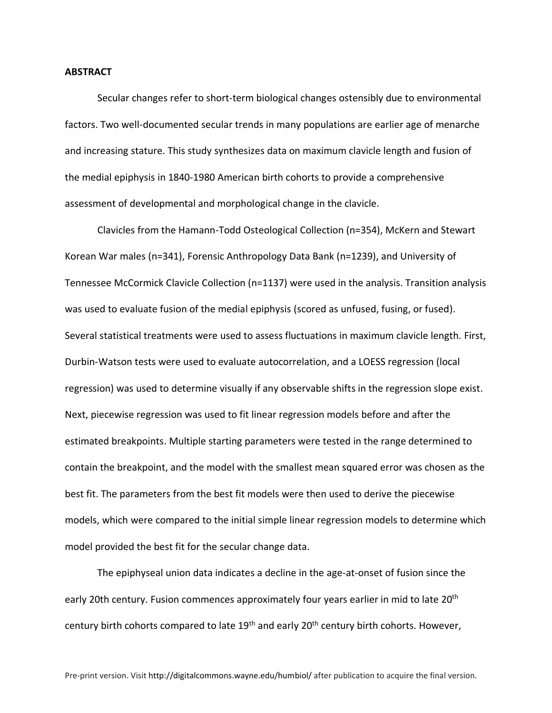#### **ABSTRACT**

Secular changes refer to short-term biological changes ostensibly due to environmental factors. Two well-documented secular trends in many populations are earlier age of menarche and increasing stature. This study synthesizes data on maximum clavicle length and fusion of the medial epiphysis in 1840-1980 American birth cohorts to provide a comprehensive assessment of developmental and morphological change in the clavicle.

Clavicles from the Hamann-Todd Osteological Collection (n=354), McKern and Stewart Korean War males (n=341), Forensic Anthropology Data Bank (n=1239), and University of Tennessee McCormick Clavicle Collection (n=1137) were used in the analysis. Transition analysis was used to evaluate fusion of the medial epiphysis (scored as unfused, fusing, or fused). Several statistical treatments were used to assess fluctuations in maximum clavicle length. First, Durbin-Watson tests were used to evaluate autocorrelation, and a LOESS regression (local regression) was used to determine visually if any observable shifts in the regression slope exist. Next, piecewise regression was used to fit linear regression models before and after the estimated breakpoints. Multiple starting parameters were tested in the range determined to contain the breakpoint, and the model with the smallest mean squared error was chosen as the best fit. The parameters from the best fit models were then used to derive the piecewise models, which were compared to the initial simple linear regression models to determine which model provided the best fit for the secular change data.

The epiphyseal union data indicates a decline in the age-at-onset of fusion since the early 20th century. Fusion commences approximately four years earlier in mid to late 20<sup>th</sup> century birth cohorts compared to late 19<sup>th</sup> and early 20<sup>th</sup> century birth cohorts. However,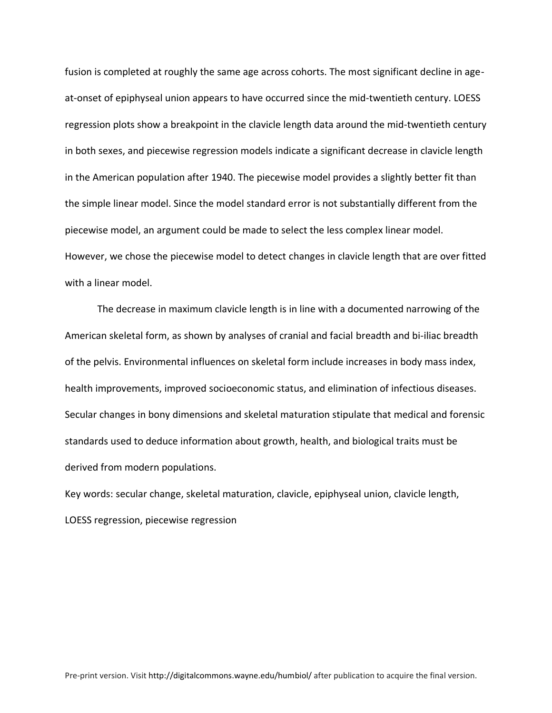fusion is completed at roughly the same age across cohorts. The most significant decline in ageat-onset of epiphyseal union appears to have occurred since the mid-twentieth century. LOESS regression plots show a breakpoint in the clavicle length data around the mid-twentieth century in both sexes, and piecewise regression models indicate a significant decrease in clavicle length in the American population after 1940. The piecewise model provides a slightly better fit than the simple linear model. Since the model standard error is not substantially different from the piecewise model, an argument could be made to select the less complex linear model. However, we chose the piecewise model to detect changes in clavicle length that are over fitted with a linear model.

The decrease in maximum clavicle length is in line with a documented narrowing of the American skeletal form, as shown by analyses of cranial and facial breadth and bi-iliac breadth of the pelvis. Environmental influences on skeletal form include increases in body mass index, health improvements, improved socioeconomic status, and elimination of infectious diseases. Secular changes in bony dimensions and skeletal maturation stipulate that medical and forensic standards used to deduce information about growth, health, and biological traits must be derived from modern populations.

Key words: secular change, skeletal maturation, clavicle, epiphyseal union, clavicle length, LOESS regression, piecewise regression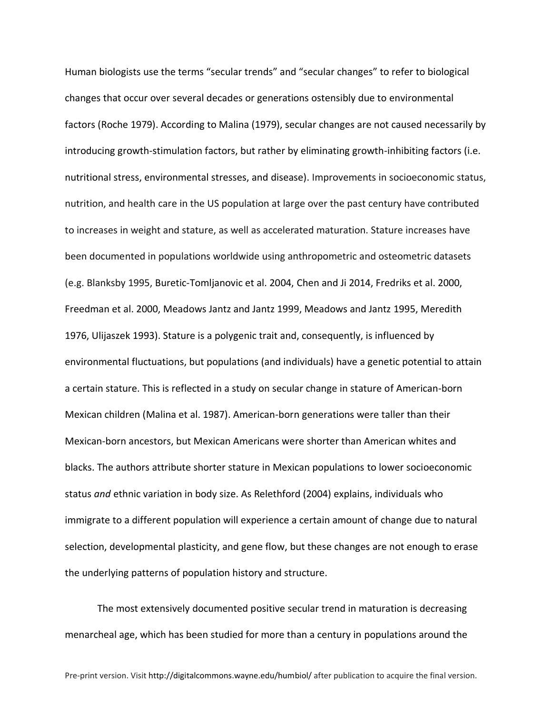Human biologists use the terms "secular trends" and "secular changes" to refer to biological changes that occur over several decades or generations ostensibly due to environmental factors (Roche 1979). According to Malina (1979), secular changes are not caused necessarily by introducing growth-stimulation factors, but rather by eliminating growth-inhibiting factors (i.e. nutritional stress, environmental stresses, and disease). Improvements in socioeconomic status, nutrition, and health care in the US population at large over the past century have contributed to increases in weight and stature, as well as accelerated maturation. Stature increases have been documented in populations worldwide using anthropometric and osteometric datasets (e.g. Blanksby 1995, Buretic-Tomljanovic et al. 2004, Chen and Ji 2014, Fredriks et al. 2000, Freedman et al. 2000, Meadows Jantz and Jantz 1999, Meadows and Jantz 1995, Meredith 1976, Ulijaszek 1993). Stature is a polygenic trait and, consequently, is influenced by environmental fluctuations, but populations (and individuals) have a genetic potential to attain a certain stature. This is reflected in a study on secular change in stature of American-born Mexican children (Malina et al. 1987). American-born generations were taller than their Mexican-born ancestors, but Mexican Americans were shorter than American whites and blacks. The authors attribute shorter stature in Mexican populations to lower socioeconomic status *and* ethnic variation in body size. As Relethford (2004) explains, individuals who immigrate to a different population will experience a certain amount of change due to natural selection, developmental plasticity, and gene flow, but these changes are not enough to erase the underlying patterns of population history and structure.

The most extensively documented positive secular trend in maturation is decreasing menarcheal age, which has been studied for more than a century in populations around the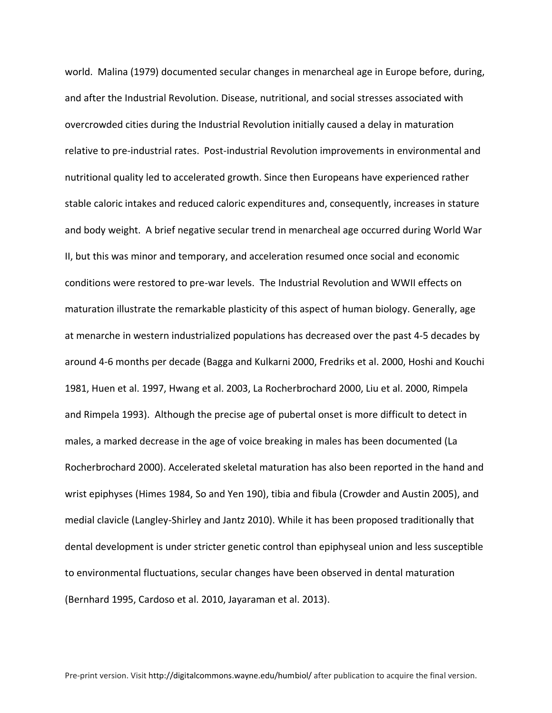world. Malina (1979) documented secular changes in menarcheal age in Europe before, during, and after the Industrial Revolution. Disease, nutritional, and social stresses associated with overcrowded cities during the Industrial Revolution initially caused a delay in maturation relative to pre-industrial rates. Post-industrial Revolution improvements in environmental and nutritional quality led to accelerated growth. Since then Europeans have experienced rather stable caloric intakes and reduced caloric expenditures and, consequently, increases in stature and body weight. A brief negative secular trend in menarcheal age occurred during World War II, but this was minor and temporary, and acceleration resumed once social and economic conditions were restored to pre-war levels. The Industrial Revolution and WWII effects on maturation illustrate the remarkable plasticity of this aspect of human biology. Generally, age at menarche in western industrialized populations has decreased over the past 4-5 decades by around 4-6 months per decade (Bagga and Kulkarni 2000, Fredriks et al. 2000, Hoshi and Kouchi 1981, Huen et al. 1997, Hwang et al. 2003, La Rocherbrochard 2000, Liu et al. 2000, Rimpela and Rimpela 1993). Although the precise age of pubertal onset is more difficult to detect in males, a marked decrease in the age of voice breaking in males has been documented (La Rocherbrochard 2000). Accelerated skeletal maturation has also been reported in the hand and wrist epiphyses (Himes 1984, So and Yen 190), tibia and fibula (Crowder and Austin 2005), and medial clavicle (Langley-Shirley and Jantz 2010). While it has been proposed traditionally that dental development is under stricter genetic control than epiphyseal union and less susceptible to environmental fluctuations, secular changes have been observed in dental maturation (Bernhard 1995, Cardoso et al. 2010, Jayaraman et al. 2013).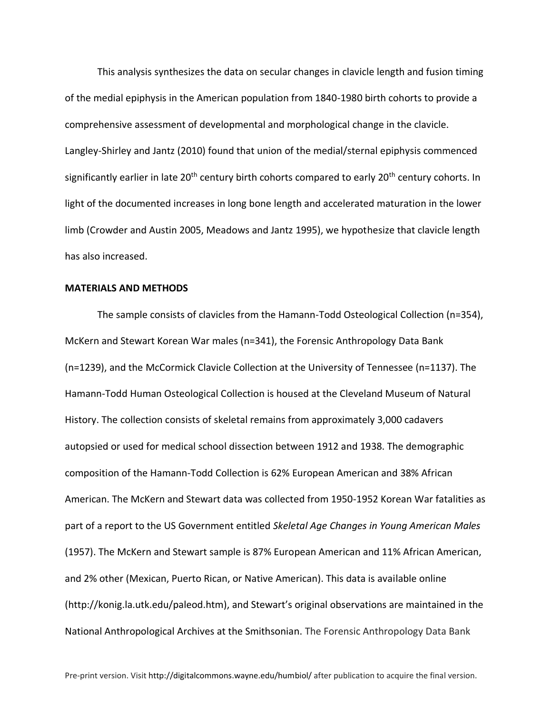This analysis synthesizes the data on secular changes in clavicle length and fusion timing of the medial epiphysis in the American population from 1840-1980 birth cohorts to provide a comprehensive assessment of developmental and morphological change in the clavicle. Langley-Shirley and Jantz (2010) found that union of the medial/sternal epiphysis commenced significantly earlier in late 20<sup>th</sup> century birth cohorts compared to early 20<sup>th</sup> century cohorts. In light of the documented increases in long bone length and accelerated maturation in the lower limb (Crowder and Austin 2005, Meadows and Jantz 1995), we hypothesize that clavicle length has also increased.

#### **MATERIALS AND METHODS**

The sample consists of clavicles from the Hamann-Todd Osteological Collection (n=354), McKern and Stewart Korean War males (n=341), the Forensic Anthropology Data Bank (n=1239), and the McCormick Clavicle Collection at the University of Tennessee (n=1137). The Hamann-Todd Human Osteological Collection is housed at the Cleveland Museum of Natural History. The collection consists of skeletal remains from approximately 3,000 cadavers autopsied or used for medical school dissection between 1912 and 1938. The demographic composition of the Hamann-Todd Collection is 62% European American and 38% African American. The McKern and Stewart data was collected from 1950-1952 Korean War fatalities as part of a report to the US Government entitled *Skeletal Age Changes in Young American Males* (1957). The McKern and Stewart sample is 87% European American and 11% African American, and 2% other (Mexican, Puerto Rican, or Native American). This data is available online (http://konig.la.utk.edu/paleod.htm), and Stewart's original observations are maintained in the National Anthropological Archives at the Smithsonian. The Forensic Anthropology Data Bank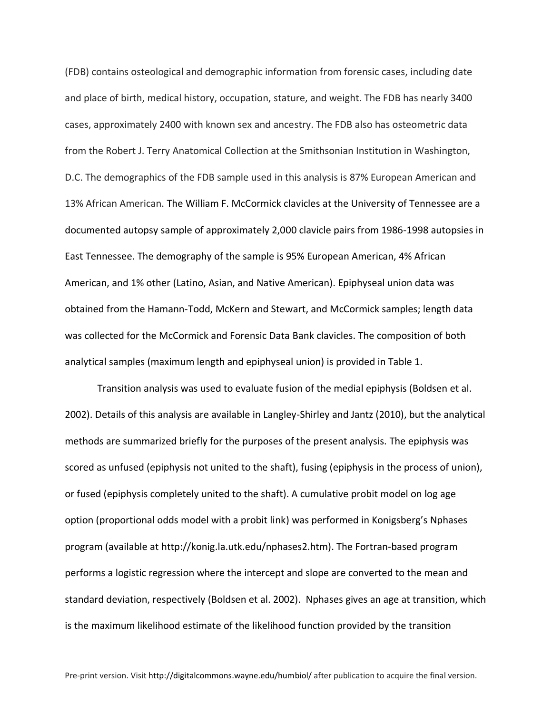(FDB) contains osteological and demographic information from forensic cases, including date and place of birth, medical history, occupation, stature, and weight. The FDB has nearly 3400 cases, approximately 2400 with known sex and ancestry. The FDB also has osteometric data from the Robert J. Terry Anatomical Collection at the Smithsonian Institution in Washington, D.C. The demographics of the FDB sample used in this analysis is 87% European American and 13% African American. The William F. McCormick clavicles at the University of Tennessee are a documented autopsy sample of approximately 2,000 clavicle pairs from 1986-1998 autopsies in East Tennessee. The demography of the sample is 95% European American, 4% African American, and 1% other (Latino, Asian, and Native American). Epiphyseal union data was obtained from the Hamann-Todd, McKern and Stewart, and McCormick samples; length data was collected for the McCormick and Forensic Data Bank clavicles. The composition of both analytical samples (maximum length and epiphyseal union) is provided in Table 1.

Transition analysis was used to evaluate fusion of the medial epiphysis (Boldsen et al. 2002). Details of this analysis are available in Langley-Shirley and Jantz (2010), but the analytical methods are summarized briefly for the purposes of the present analysis. The epiphysis was scored as unfused (epiphysis not united to the shaft), fusing (epiphysis in the process of union), or fused (epiphysis completely united to the shaft). A cumulative probit model on log age option (proportional odds model with a probit link) was performed in Konigsberg's Nphases program (available at http://konig.la.utk.edu/nphases2.htm). The Fortran-based program performs a logistic regression where the intercept and slope are converted to the mean and standard deviation, respectively (Boldsen et al. 2002). Nphases gives an age at transition, which is the maximum likelihood estimate of the likelihood function provided by the transition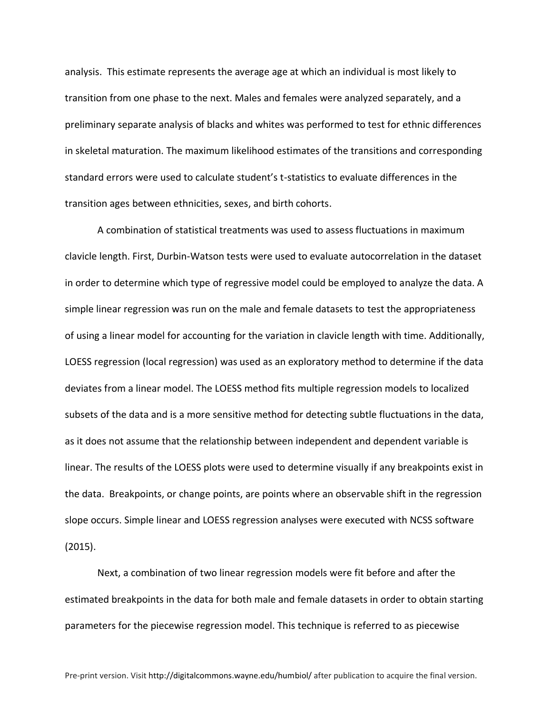analysis. This estimate represents the average age at which an individual is most likely to transition from one phase to the next. Males and females were analyzed separately, and a preliminary separate analysis of blacks and whites was performed to test for ethnic differences in skeletal maturation. The maximum likelihood estimates of the transitions and corresponding standard errors were used to calculate student's t-statistics to evaluate differences in the transition ages between ethnicities, sexes, and birth cohorts.

A combination of statistical treatments was used to assess fluctuations in maximum clavicle length. First, Durbin-Watson tests were used to evaluate autocorrelation in the dataset in order to determine which type of regressive model could be employed to analyze the data. A simple linear regression was run on the male and female datasets to test the appropriateness of using a linear model for accounting for the variation in clavicle length with time. Additionally, LOESS regression (local regression) was used as an exploratory method to determine if the data deviates from a linear model. The LOESS method fits multiple regression models to localized subsets of the data and is a more sensitive method for detecting subtle fluctuations in the data, as it does not assume that the relationship between independent and dependent variable is linear. The results of the LOESS plots were used to determine visually if any breakpoints exist in the data. Breakpoints, or change points, are points where an observable shift in the regression slope occurs. Simple linear and LOESS regression analyses were executed with NCSS software (2015).

Next, a combination of two linear regression models were fit before and after the estimated breakpoints in the data for both male and female datasets in order to obtain starting parameters for the piecewise regression model. This technique is referred to as piecewise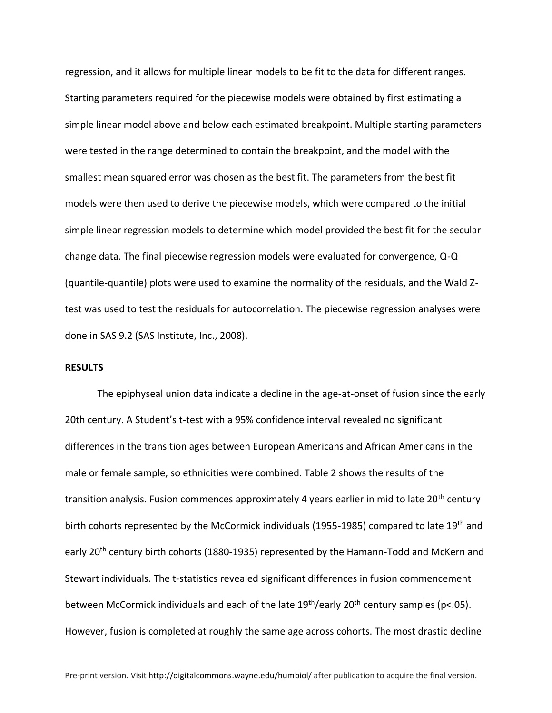regression, and it allows for multiple linear models to be fit to the data for different ranges. Starting parameters required for the piecewise models were obtained by first estimating a simple linear model above and below each estimated breakpoint. Multiple starting parameters were tested in the range determined to contain the breakpoint, and the model with the smallest mean squared error was chosen as the best fit. The parameters from the best fit models were then used to derive the piecewise models, which were compared to the initial simple linear regression models to determine which model provided the best fit for the secular change data. The final piecewise regression models were evaluated for convergence, Q-Q (quantile-quantile) plots were used to examine the normality of the residuals, and the Wald Ztest was used to test the residuals for autocorrelation. The piecewise regression analyses were done in SAS 9.2 (SAS Institute, Inc., 2008).

#### **RESULTS**

The epiphyseal union data indicate a decline in the age-at-onset of fusion since the early 20th century. A Student's t-test with a 95% confidence interval revealed no significant differences in the transition ages between European Americans and African Americans in the male or female sample, so ethnicities were combined. Table 2 shows the results of the transition analysis. Fusion commences approximately 4 years earlier in mid to late 20<sup>th</sup> century birth cohorts represented by the McCormick individuals (1955-1985) compared to late 19<sup>th</sup> and early 20<sup>th</sup> century birth cohorts (1880-1935) represented by the Hamann-Todd and McKern and Stewart individuals. The t-statistics revealed significant differences in fusion commencement between McCormick individuals and each of the late  $19<sup>th</sup>/early$  20<sup>th</sup> century samples (p<.05). However, fusion is completed at roughly the same age across cohorts. The most drastic decline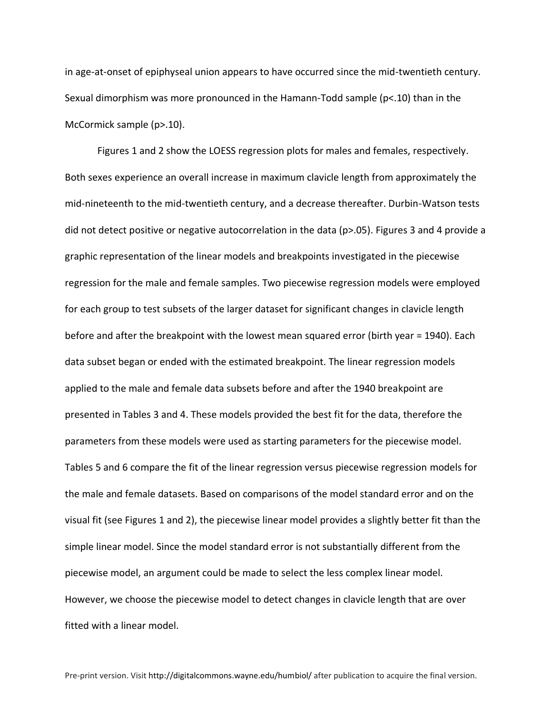in age-at-onset of epiphyseal union appears to have occurred since the mid-twentieth century. Sexual dimorphism was more pronounced in the Hamann-Todd sample (p<.10) than in the McCormick sample (p>.10).

Figures 1 and 2 show the LOESS regression plots for males and females, respectively. Both sexes experience an overall increase in maximum clavicle length from approximately the mid-nineteenth to the mid-twentieth century, and a decrease thereafter. Durbin-Watson tests did not detect positive or negative autocorrelation in the data (p>.05). Figures 3 and 4 provide a graphic representation of the linear models and breakpoints investigated in the piecewise regression for the male and female samples. Two piecewise regression models were employed for each group to test subsets of the larger dataset for significant changes in clavicle length before and after the breakpoint with the lowest mean squared error (birth year = 1940). Each data subset began or ended with the estimated breakpoint. The linear regression models applied to the male and female data subsets before and after the 1940 breakpoint are presented in Tables 3 and 4. These models provided the best fit for the data, therefore the parameters from these models were used as starting parameters for the piecewise model. Tables 5 and 6 compare the fit of the linear regression versus piecewise regression models for the male and female datasets. Based on comparisons of the model standard error and on the visual fit (see Figures 1 and 2), the piecewise linear model provides a slightly better fit than the simple linear model. Since the model standard error is not substantially different from the piecewise model, an argument could be made to select the less complex linear model. However, we choose the piecewise model to detect changes in clavicle length that are over fitted with a linear model.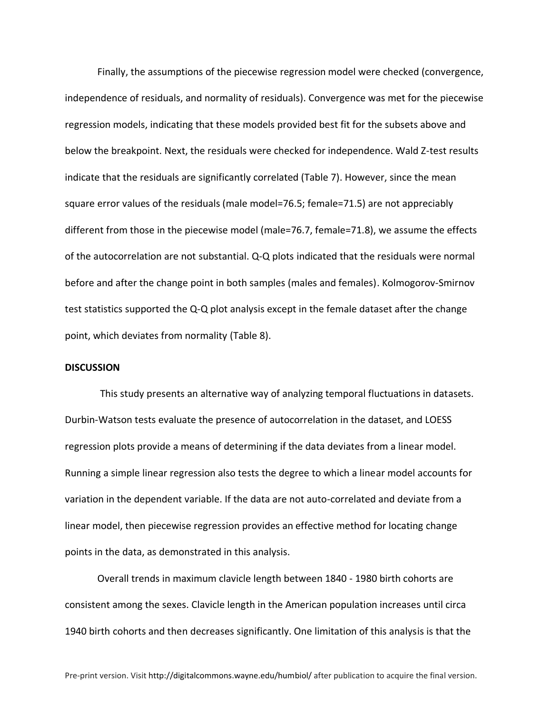Finally, the assumptions of the piecewise regression model were checked (convergence, independence of residuals, and normality of residuals). Convergence was met for the piecewise regression models, indicating that these models provided best fit for the subsets above and below the breakpoint. Next, the residuals were checked for independence. Wald Z-test results indicate that the residuals are significantly correlated (Table 7). However, since the mean square error values of the residuals (male model=76.5; female=71.5) are not appreciably different from those in the piecewise model (male=76.7, female=71.8), we assume the effects of the autocorrelation are not substantial. Q-Q plots indicated that the residuals were normal before and after the change point in both samples (males and females). Kolmogorov-Smirnov test statistics supported the Q-Q plot analysis except in the female dataset after the change point, which deviates from normality (Table 8).

#### **DISCUSSION**

This study presents an alternative way of analyzing temporal fluctuations in datasets. Durbin-Watson tests evaluate the presence of autocorrelation in the dataset, and LOESS regression plots provide a means of determining if the data deviates from a linear model. Running a simple linear regression also tests the degree to which a linear model accounts for variation in the dependent variable. If the data are not auto-correlated and deviate from a linear model, then piecewise regression provides an effective method for locating change points in the data, as demonstrated in this analysis.

Overall trends in maximum clavicle length between 1840 - 1980 birth cohorts are consistent among the sexes. Clavicle length in the American population increases until circa 1940 birth cohorts and then decreases significantly. One limitation of this analysis is that the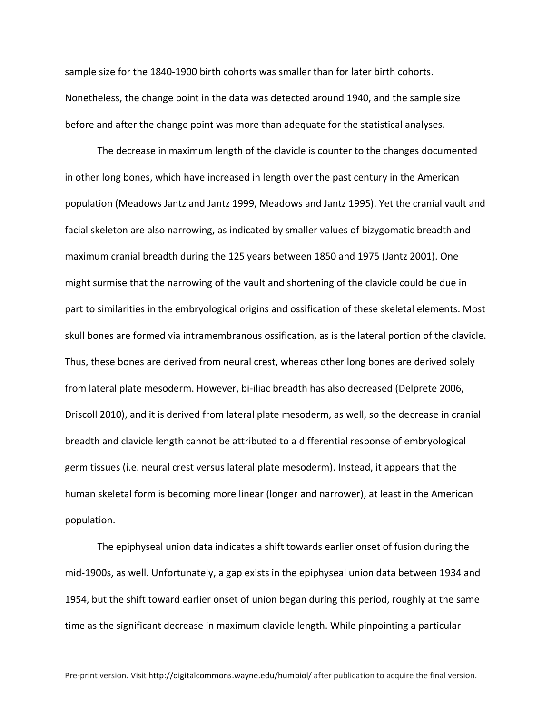sample size for the 1840-1900 birth cohorts was smaller than for later birth cohorts. Nonetheless, the change point in the data was detected around 1940, and the sample size before and after the change point was more than adequate for the statistical analyses.

The decrease in maximum length of the clavicle is counter to the changes documented in other long bones, which have increased in length over the past century in the American population (Meadows Jantz and Jantz 1999, Meadows and Jantz 1995). Yet the cranial vault and facial skeleton are also narrowing, as indicated by smaller values of bizygomatic breadth and maximum cranial breadth during the 125 years between 1850 and 1975 (Jantz 2001). One might surmise that the narrowing of the vault and shortening of the clavicle could be due in part to similarities in the embryological origins and ossification of these skeletal elements. Most skull bones are formed via intramembranous ossification, as is the lateral portion of the clavicle. Thus, these bones are derived from neural crest, whereas other long bones are derived solely from lateral plate mesoderm. However, bi-iliac breadth has also decreased (Delprete 2006, Driscoll 2010), and it is derived from lateral plate mesoderm, as well, so the decrease in cranial breadth and clavicle length cannot be attributed to a differential response of embryological germ tissues (i.e. neural crest versus lateral plate mesoderm). Instead, it appears that the human skeletal form is becoming more linear (longer and narrower), at least in the American population.

The epiphyseal union data indicates a shift towards earlier onset of fusion during the mid-1900s, as well. Unfortunately, a gap exists in the epiphyseal union data between 1934 and 1954, but the shift toward earlier onset of union began during this period, roughly at the same time as the significant decrease in maximum clavicle length. While pinpointing a particular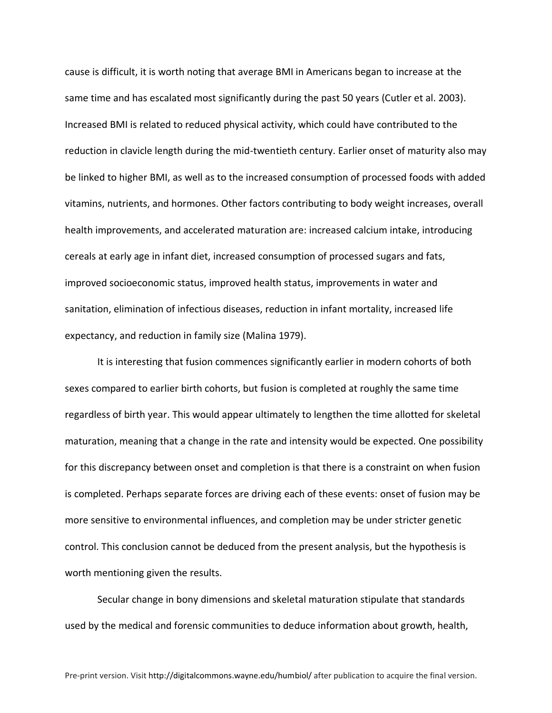cause is difficult, it is worth noting that average BMI in Americans began to increase at the same time and has escalated most significantly during the past 50 years (Cutler et al. 2003). Increased BMI is related to reduced physical activity, which could have contributed to the reduction in clavicle length during the mid-twentieth century. Earlier onset of maturity also may be linked to higher BMI, as well as to the increased consumption of processed foods with added vitamins, nutrients, and hormones. Other factors contributing to body weight increases, overall health improvements, and accelerated maturation are: increased calcium intake, introducing cereals at early age in infant diet, increased consumption of processed sugars and fats, improved socioeconomic status, improved health status, improvements in water and sanitation, elimination of infectious diseases, reduction in infant mortality, increased life expectancy, and reduction in family size (Malina 1979).

It is interesting that fusion commences significantly earlier in modern cohorts of both sexes compared to earlier birth cohorts, but fusion is completed at roughly the same time regardless of birth year. This would appear ultimately to lengthen the time allotted for skeletal maturation, meaning that a change in the rate and intensity would be expected. One possibility for this discrepancy between onset and completion is that there is a constraint on when fusion is completed. Perhaps separate forces are driving each of these events: onset of fusion may be more sensitive to environmental influences, and completion may be under stricter genetic control. This conclusion cannot be deduced from the present analysis, but the hypothesis is worth mentioning given the results.

Secular change in bony dimensions and skeletal maturation stipulate that standards used by the medical and forensic communities to deduce information about growth, health,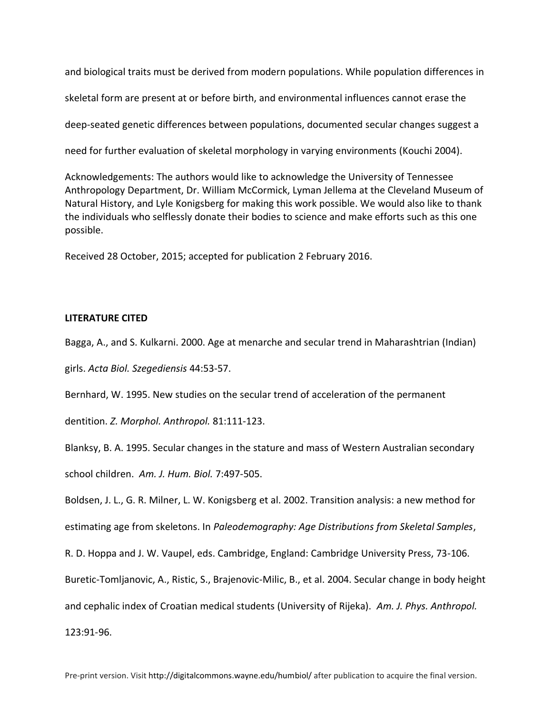and biological traits must be derived from modern populations. While population differences in

skeletal form are present at or before birth, and environmental influences cannot erase the

deep-seated genetic differences between populations, documented secular changes suggest a

need for further evaluation of skeletal morphology in varying environments (Kouchi 2004).

Acknowledgements: The authors would like to acknowledge the University of Tennessee Anthropology Department, Dr. William McCormick, Lyman Jellema at the Cleveland Museum of Natural History, and Lyle Konigsberg for making this work possible. We would also like to thank the individuals who selflessly donate their bodies to science and make efforts such as this one possible.

Received 28 October, 2015; accepted for publication 2 February 2016.

#### **LITERATURE CITED**

Bagga, A., and S. Kulkarni. 2000. Age at menarche and secular trend in Maharashtrian (Indian)

girls. *Acta Biol. Szegediensis* 44:53-57.

Bernhard, W. 1995. New studies on the secular trend of acceleration of the permanent

dentition. *Z. Morphol. Anthropol.* 81:111-123.

Blanksy, B. A. 1995. Secular changes in the stature and mass of Western Australian secondary school children. *Am. J. Hum. Biol.* 7:497-505.

Boldsen, J. L., G. R. Milner, L. W. Konigsberg et al. 2002. Transition analysis: a new method for estimating age from skeletons. In *Paleodemography: Age Distributions from Skeletal Samples*,

R. D. Hoppa and J. W. Vaupel, eds. Cambridge, England: Cambridge University Press, 73-106.

Buretic-Tomljanovic, A., Ristic, S., Brajenovic-Milic, B., et al. 2004. Secular change in body height

and cephalic index of Croatian medical students (University of Rijeka). *Am. J. Phys. Anthropol.*

123:91-96.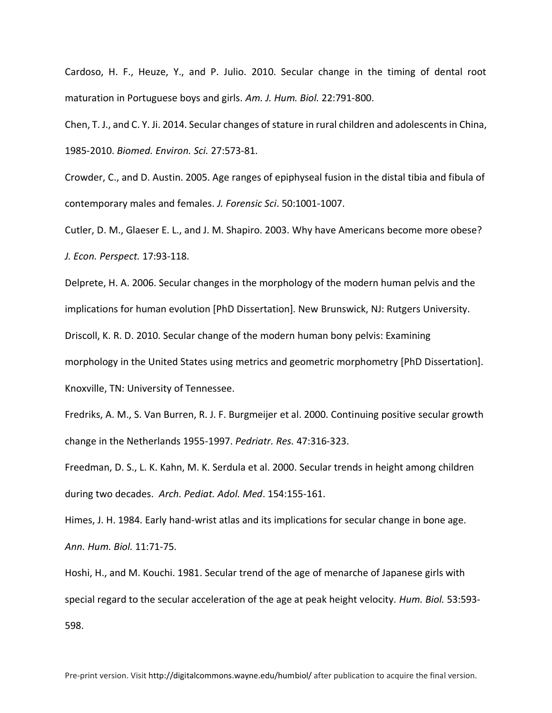Cardoso, H. F., Heuze, Y., and P. Julio. 2010. Secular change in the timing of dental root maturation in Portuguese boys and girls. *Am. J. Hum. Biol.* 22:791-800.

Chen, T. J., and C. Y. Ji. 2014. Secular changes of stature in rural children and adolescents in China, 1985-2010. *Biomed. Environ. Sci.* 27:573-81.

Crowder, C., and D. Austin. 2005. Age ranges of epiphyseal fusion in the distal tibia and fibula of contemporary males and females. *J. Forensic Sci*. 50:1001-1007.

Cutler, D. M., Glaeser E. L., and J. M. Shapiro. 2003. Why have Americans become more obese? *J. Econ. Perspect.* 17:93-118.

Delprete, H. A. 2006. Secular changes in the morphology of the modern human pelvis and the implications for human evolution [PhD Dissertation]. New Brunswick, NJ: Rutgers University.

Driscoll, K. R. D. 2010. Secular change of the modern human bony pelvis: Examining

morphology in the United States using metrics and geometric morphometry [PhD Dissertation].

Knoxville, TN: University of Tennessee.

Fredriks, A. M., S. Van Burren, R. J. F. Burgmeijer et al. 2000. Continuing positive secular growth change in the Netherlands 1955-1997. *Pedriatr. Res.* 47:316-323.

Freedman, D. S., L. K. Kahn, M. K. Serdula et al. 2000. Secular trends in height among children during two decades. *Arch. Pediat. Adol. Med*. 154:155-161.

Himes, J. H. 1984. Early hand-wrist atlas and its implications for secular change in bone age. *Ann. Hum. Biol.* 11:71-75.

Hoshi, H., and M. Kouchi. 1981. Secular trend of the age of menarche of Japanese girls with special regard to the secular acceleration of the age at peak height velocity. *Hum. Biol.* 53:593- 598.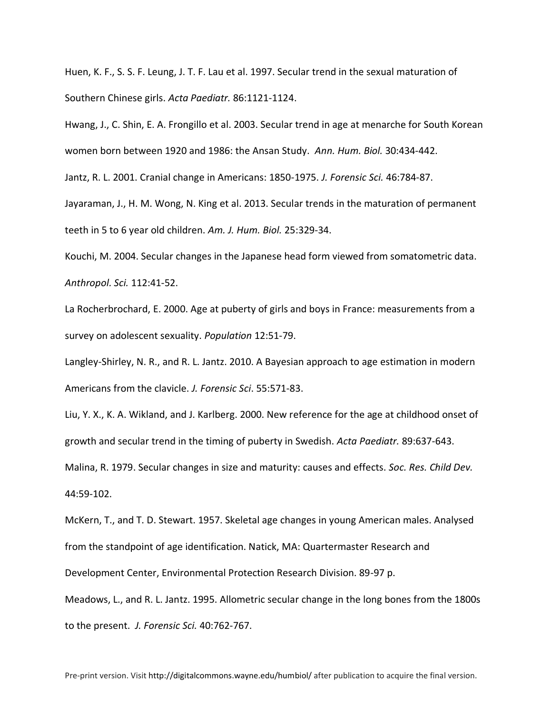Huen, K. F., S. S. F. Leung, J. T. F. Lau et al. 1997. Secular trend in the sexual maturation of Southern Chinese girls. *Acta Paediatr.* 86:1121-1124.

Hwang, J., C. Shin, E. A. Frongillo et al. 2003. Secular trend in age at menarche for South Korean women born between 1920 and 1986: the Ansan Study. *Ann. Hum. Biol.* 30:434-442.

Jantz, R. L. 2001. Cranial change in Americans: 1850-1975. *J. Forensic Sci.* 46:784-87.

Jayaraman, J., H. M. Wong, N. King et al. 2013. Secular trends in the maturation of permanent teeth in 5 to 6 year old children. *Am. J. Hum. Biol.* 25:329-34.

Kouchi, M. 2004. Secular changes in the Japanese head form viewed from somatometric data. *Anthropol. Sci.* 112:41-52.

La Rocherbrochard, E. 2000. Age at puberty of girls and boys in France: measurements from a survey on adolescent sexuality. *Population* 12:51-79.

Langley-Shirley, N. R., and R. L. Jantz. 2010. A Bayesian approach to age estimation in modern Americans from the clavicle. *J. Forensic Sci*. 55:571-83.

Liu, Y. X., K. A. Wikland, and J. Karlberg. 2000. New reference for the age at childhood onset of growth and secular trend in the timing of puberty in Swedish. *Acta Paediatr.* 89:637-643.

Malina, R. 1979. Secular changes in size and maturity: causes and effects. *Soc. Res. Child Dev.* 44:59-102.

McKern, T., and T. D. Stewart. 1957. Skeletal age changes in young American males. Analysed from the standpoint of age identification. Natick, MA: Quartermaster Research and Development Center, Environmental Protection Research Division. 89-97 p.

Meadows, L., and R. L. Jantz. 1995. Allometric secular change in the long bones from the 1800s to the present. *J. Forensic Sci.* 40:762-767.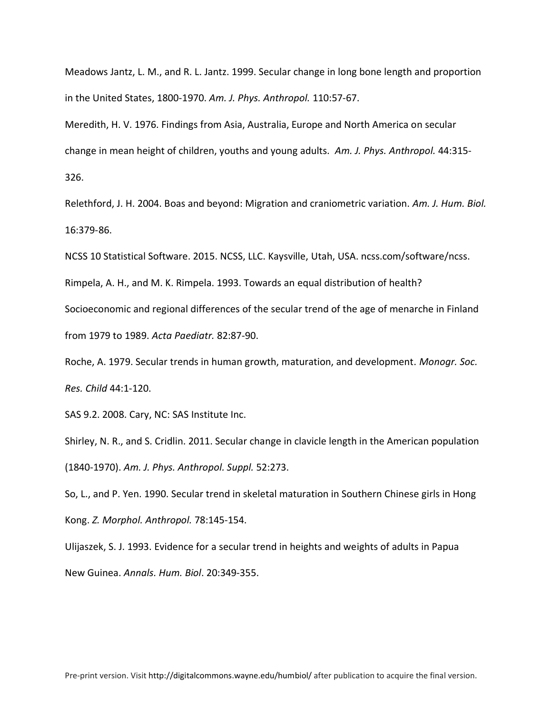Meadows Jantz, L. M., and R. L. Jantz. 1999. Secular change in long bone length and proportion in the United States, 1800-1970. *Am. J. Phys. Anthropol.* 110:57-67.

Meredith, H. V. 1976. Findings from Asia, Australia, Europe and North America on secular change in mean height of children, youths and young adults. *Am. J. Phys. Anthropol.* 44:315- 326.

Relethford, J. H. 2004. Boas and beyond: Migration and craniometric variation. *Am. J. Hum. Biol.*  16:379-86.

NCSS 10 Statistical Software. 2015. NCSS, LLC. Kaysville, Utah, USA. ncss.com/software/ncss.

Rimpela, A. H., and M. K. Rimpela. 1993. Towards an equal distribution of health?

Socioeconomic and regional differences of the secular trend of the age of menarche in Finland from 1979 to 1989. *Acta Paediatr.* 82:87-90.

Roche, A. 1979. Secular trends in human growth, maturation, and development. *Monogr. Soc. Res. Child* 44:1-120.

SAS 9.2. 2008. Cary, NC: SAS Institute Inc.

Shirley, N. R., and S. Cridlin. 2011. Secular change in clavicle length in the American population (1840-1970). *Am. J. Phys. Anthropol. Suppl.* 52:273.

So, L., and P. Yen. 1990. Secular trend in skeletal maturation in Southern Chinese girls in Hong Kong. *Z. Morphol. Anthropol.* 78:145-154.

Ulijaszek, S. J. 1993. Evidence for a secular trend in heights and weights of adults in Papua New Guinea. *Annals. Hum. Biol*. 20:349-355.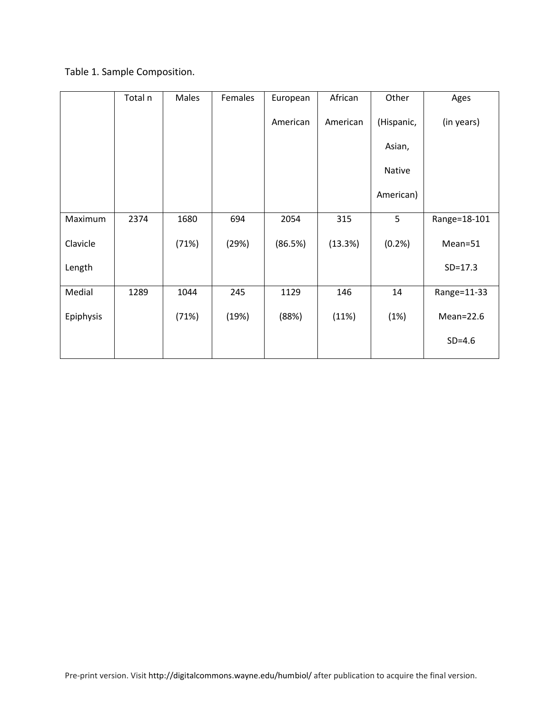# Table 1. Sample Composition.

|           | Total n | Males | Females | European | African  | Other      | Ages          |
|-----------|---------|-------|---------|----------|----------|------------|---------------|
|           |         |       |         | American | American | (Hispanic, | (in years)    |
|           |         |       |         |          |          | Asian,     |               |
|           |         |       |         |          |          | Native     |               |
|           |         |       |         |          |          | American)  |               |
| Maximum   | 2374    | 1680  | 694     | 2054     | 315      | 5          | Range=18-101  |
| Clavicle  |         | (71%) | (29%)   | (86.5%)  | (13.3%)  | (0.2%      | Mean=51       |
| Length    |         |       |         |          |          |            | $SD = 17.3$   |
| Medial    | 1289    | 1044  | 245     | 1129     | 146      | 14         | Range=11-33   |
| Epiphysis |         | (71%) | (19%)   | (88%)    | (11%)    | (1%)       | $Mean = 22.6$ |
|           |         |       |         |          |          |            | $SD=4.6$      |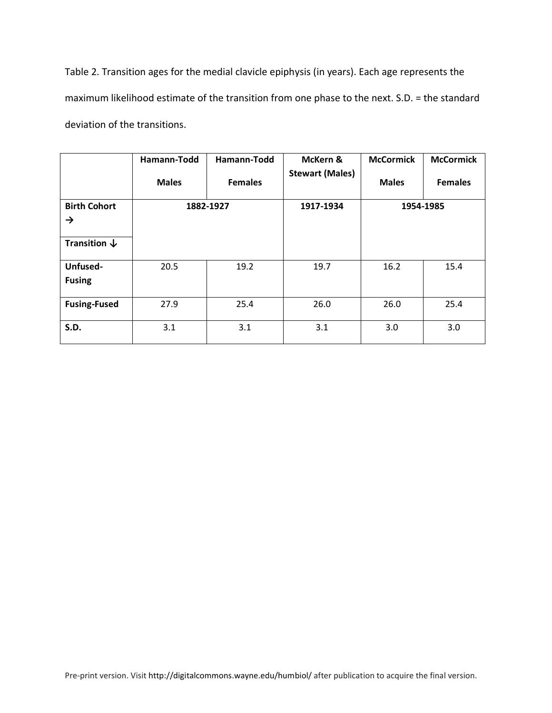Table 2. Transition ages for the medial clavicle epiphysis (in years). Each age represents the maximum likelihood estimate of the transition from one phase to the next. S.D. = the standard deviation of the transitions.

|                                      | Hamann-Todd<br><b>Males</b> | Hamann-Todd<br><b>Females</b> | McKern &<br><b>Stewart (Males)</b> | <b>McCormick</b><br><b>Males</b> | <b>McCormick</b><br><b>Females</b> |
|--------------------------------------|-----------------------------|-------------------------------|------------------------------------|----------------------------------|------------------------------------|
| <b>Birth Cohort</b><br>$\rightarrow$ | 1882-1927                   |                               | 1917-1934                          | 1954-1985                        |                                    |
| Transition $\downarrow$              |                             |                               |                                    |                                  |                                    |
| Unfused-<br><b>Fusing</b>            | 20.5                        | 19.2                          | 19.7                               | 16.2                             | 15.4                               |
| <b>Fusing-Fused</b>                  | 27.9                        | 25.4                          | 26.0                               | 26.0                             | 25.4                               |
| <b>S.D.</b>                          | 3.1                         | 3.1                           | 3.1                                | 3.0                              | 3.0                                |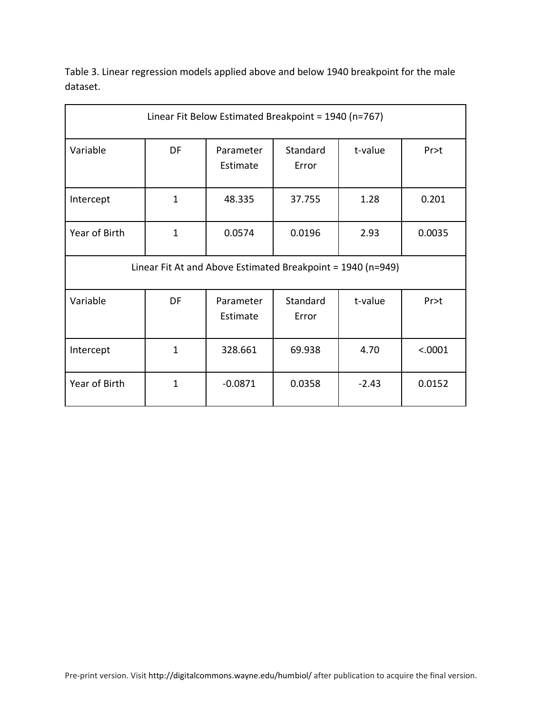Table 3. Linear regression models applied above and below 1940 breakpoint for the male dataset.

| Linear Fit Below Estimated Breakpoint = 1940 (n=767)                          |              |                       |                   |         |         |  |  |
|-------------------------------------------------------------------------------|--------------|-----------------------|-------------------|---------|---------|--|--|
| Variable                                                                      | DF           | Parameter<br>Estimate | Standard<br>Error | t-value | Pr > t  |  |  |
| Intercept                                                                     | $\mathbf{1}$ | 48.335                | 37.755            | 1.28    | 0.201   |  |  |
| Year of Birth<br>$\mathbf{1}$                                                 |              | 0.0574                | 0.0196            | 2.93    |         |  |  |
| Linear Fit At and Above Estimated Breakpoint = $1940$ (n=949)                 |              |                       |                   |         |         |  |  |
| Variable<br>DF<br>Standard<br>t-value<br>Parameter<br>Pr<br>Estimate<br>Error |              |                       |                   |         |         |  |  |
| Intercept                                                                     | $\mathbf{1}$ | 328.661               | 69.938            | 4.70    | < .0001 |  |  |
| Year of Birth                                                                 | $\mathbf{1}$ | $-0.0871$             | 0.0358            | $-2.43$ | 0.0152  |  |  |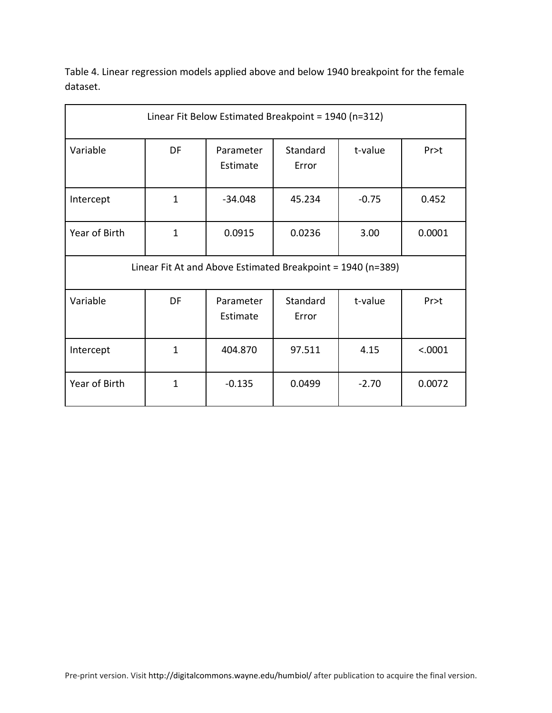Table 4. Linear regression models applied above and below 1940 breakpoint for the female dataset.

| Linear Fit Below Estimated Breakpoint = 1940 (n=312)                              |              |                       |                   |         |         |  |  |
|-----------------------------------------------------------------------------------|--------------|-----------------------|-------------------|---------|---------|--|--|
| Variable                                                                          | DF           | Parameter<br>Estimate | Standard<br>Error | t-value | Pr>t    |  |  |
| $\mathbf{1}$<br>$-34.048$<br>45.234<br>Intercept                                  |              |                       | $-0.75$           | 0.452   |         |  |  |
| Year of Birth<br>$\mathbf{1}$                                                     |              | 0.0915                | 0.0236<br>3.00    |         | 0.0001  |  |  |
| Linear Fit At and Above Estimated Breakpoint = $1940$ (n=389)                     |              |                       |                   |         |         |  |  |
| Standard<br>t-value<br>Variable<br>DF<br>Parameter<br>Pr > t<br>Estimate<br>Error |              |                       |                   |         |         |  |  |
| Intercept                                                                         | $\mathbf{1}$ | 404.870               | 97.511            | 4.15    | < .0001 |  |  |
| Year of Birth                                                                     | $\mathbf{1}$ | $-0.135$              | 0.0499            | $-2.70$ | 0.0072  |  |  |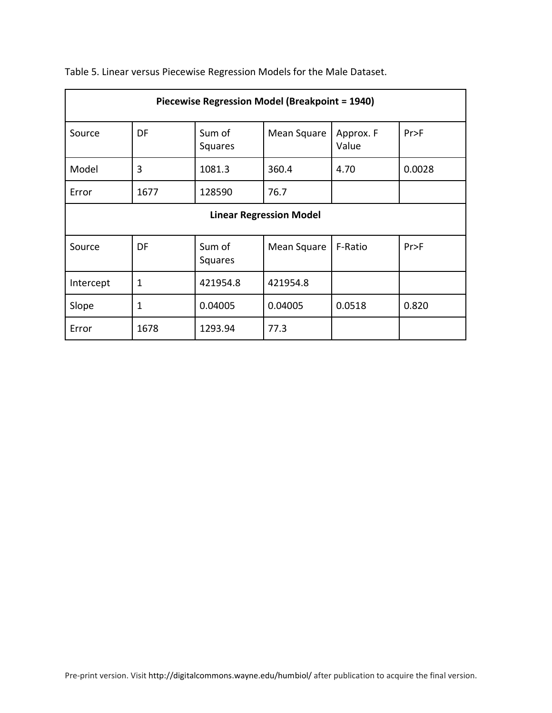| Piecewise Regression Model (Breakpoint = 1940)                      |                                |                   |             |                    |        |  |  |  |
|---------------------------------------------------------------------|--------------------------------|-------------------|-------------|--------------------|--------|--|--|--|
| Source                                                              | DF                             | Sum of<br>Squares | Mean Square | Approx. F<br>Value | Pr>F   |  |  |  |
| Model                                                               | 3                              | 1081.3            | 360.4       | 4.70               | 0.0028 |  |  |  |
| Error                                                               | 1677                           | 128590            | 76.7        |                    |        |  |  |  |
|                                                                     | <b>Linear Regression Model</b> |                   |             |                    |        |  |  |  |
| Sum of<br>DF<br>F-Ratio<br>Pr>F<br>Source<br>Mean Square<br>Squares |                                |                   |             |                    |        |  |  |  |
| Intercept                                                           | 1<br>421954.8<br>421954.8      |                   |             |                    |        |  |  |  |
| Slope                                                               | 1                              | 0.04005           | 0.04005     | 0.0518             | 0.820  |  |  |  |
| Error                                                               | 1678                           | 1293.94           | 77.3        |                    |        |  |  |  |

Table 5. Linear versus Piecewise Regression Models for the Male Dataset.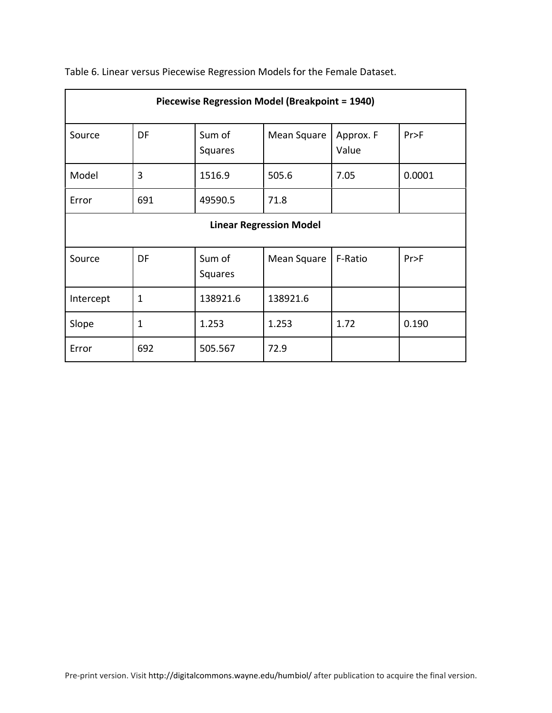| Piecewise Regression Model (Breakpoint = 1940)                      |                           |                   |             |                    |        |  |  |  |
|---------------------------------------------------------------------|---------------------------|-------------------|-------------|--------------------|--------|--|--|--|
| Source                                                              | DF                        | Sum of<br>Squares | Mean Square | Approx. F<br>Value | Pr>F   |  |  |  |
| Model                                                               | 3                         | 1516.9            | 505.6       | 7.05               | 0.0001 |  |  |  |
| Error                                                               | 691<br>49590.5<br>71.8    |                   |             |                    |        |  |  |  |
| <b>Linear Regression Model</b>                                      |                           |                   |             |                    |        |  |  |  |
| DF<br>Sum of<br>Mean Square<br>F-Ratio<br>Pr>F<br>Source<br>Squares |                           |                   |             |                    |        |  |  |  |
| Intercept                                                           | 138921.6<br>138921.6<br>1 |                   |             |                    |        |  |  |  |
| Slope                                                               | 1                         | 1.253             | 1.253       | 1.72               | 0.190  |  |  |  |
| Error                                                               | 692                       | 505.567           | 72.9        |                    |        |  |  |  |

Table 6. Linear versus Piecewise Regression Models for the Female Dataset.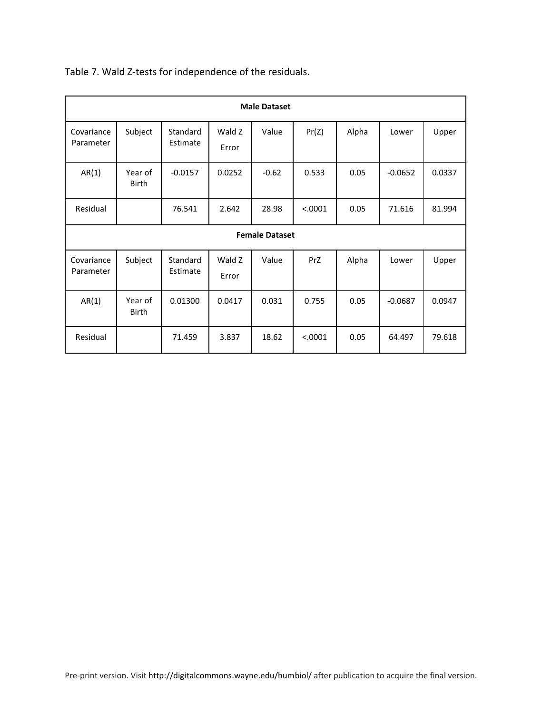| <b>Male Dataset</b>     |                         |                      |                 |         |         |       |           |        |
|-------------------------|-------------------------|----------------------|-----------------|---------|---------|-------|-----------|--------|
| Covariance<br>Parameter | Subject                 | Standard<br>Estimate | Wald Z<br>Error | Value   | Pr(Z)   | Alpha | Lower     | Upper  |
| AR(1)                   | Year of<br>Birth        | $-0.0157$            | 0.0252          | $-0.62$ | 0.533   | 0.05  | $-0.0652$ | 0.0337 |
| Residual                |                         | 76.541               | 2.642           | 28.98   | < .0001 | 0.05  | 71.616    | 81.994 |
|                         | <b>Female Dataset</b>   |                      |                 |         |         |       |           |        |
| Covariance<br>Parameter | Subject                 | Standard<br>Estimate | Wald Z<br>Error | Value   | PrZ     | Alpha | Lower     | Upper  |
| AR(1)                   | Year of<br><b>Birth</b> | 0.01300              | 0.0417          | 0.031   | 0.755   | 0.05  | $-0.0687$ | 0.0947 |
| Residual                |                         | 71.459               | 3.837           | 18.62   | < .0001 | 0.05  | 64.497    | 79.618 |

Table 7. Wald Z-tests for independence of the residuals.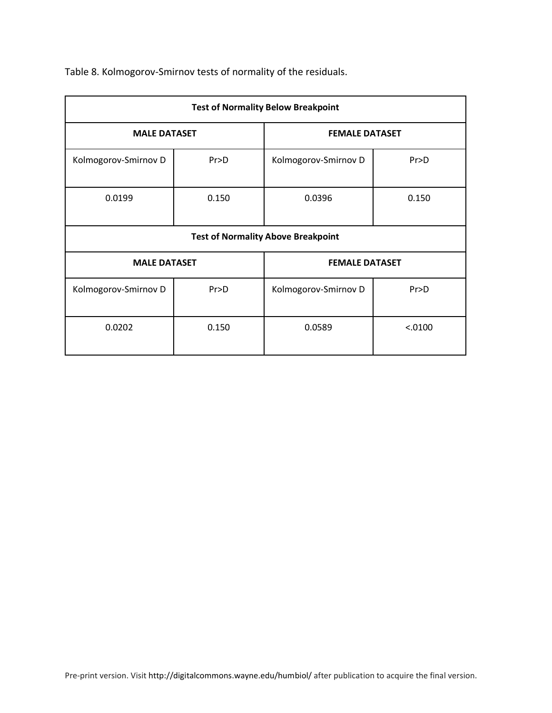| <b>Test of Normality Below Breakpoint</b> |                                              |                       |         |  |  |  |  |  |
|-------------------------------------------|----------------------------------------------|-----------------------|---------|--|--|--|--|--|
| <b>MALE DATASET</b>                       |                                              | <b>FEMALE DATASET</b> |         |  |  |  |  |  |
| Kolmogorov-Smirnov D<br>Pr > D            |                                              | Kolmogorov-Smirnov D  | Pr > D  |  |  |  |  |  |
| 0.0199                                    | 0.150                                        | 0.0396                | 0.150   |  |  |  |  |  |
| <b>Test of Normality Above Breakpoint</b> |                                              |                       |         |  |  |  |  |  |
|                                           | <b>MALE DATASET</b><br><b>FEMALE DATASET</b> |                       |         |  |  |  |  |  |
| Kolmogorov-Smirnov D                      | Pr > D                                       | Kolmogorov-Smirnov D  | Pr > D  |  |  |  |  |  |
| 0.0202                                    | 0.150                                        | 0.0589                | < .0100 |  |  |  |  |  |

Table 8. Kolmogorov-Smirnov tests of normality of the residuals.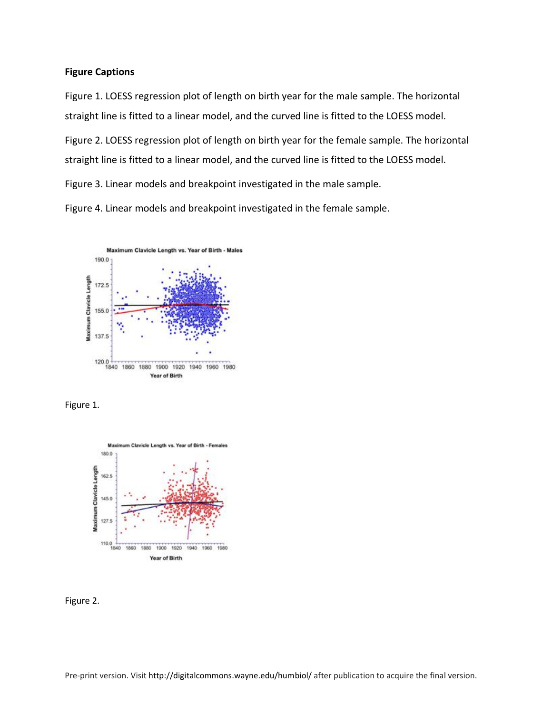### **Figure Captions**

Figure 1. LOESS regression plot of length on birth year for the male sample. The horizontal straight line is fitted to a linear model, and the curved line is fitted to the LOESS model.

Figure 2. LOESS regression plot of length on birth year for the female sample. The horizontal straight line is fitted to a linear model, and the curved line is fitted to the LOESS model.

Figure 3. Linear models and breakpoint investigated in the male sample.

Figure 4. Linear models and breakpoint investigated in the female sample.